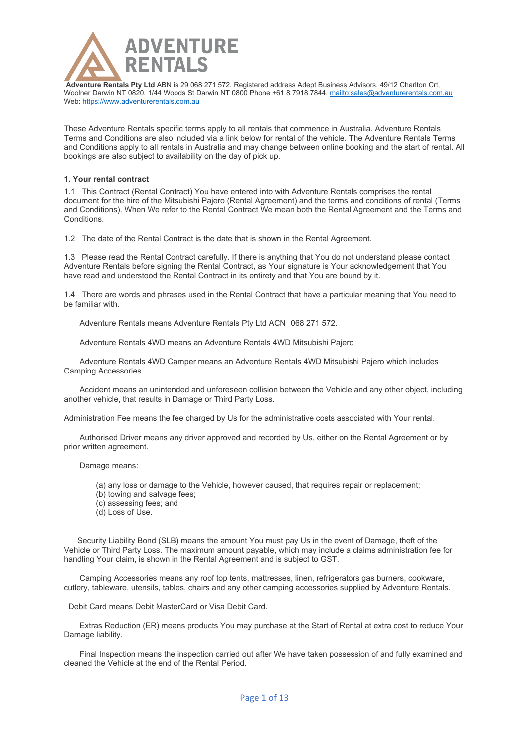

These Adventure Rentals specific terms apply to all rentals that commence in Australia. Adventure Rentals Terms and Conditions are also included via a link below for rental of the vehicle. The Adventure Rentals Terms and Conditions apply to all rentals in Australia and may change between online booking and the start of rental. All bookings are also subject to availability on the day of pick up.

# **1. Your rental contract**

1.1 This Contract (Rental Contract) You have entered into with Adventure Rentals comprises the rental document for the hire of the Mitsubishi Pajero (Rental Agreement) and the terms and conditions of rental (Terms and Conditions). When We refer to the Rental Contract We mean both the Rental Agreement and the Terms and Conditions.

1.2 The date of the Rental Contract is the date that is shown in the Rental Agreement.

1.3 Please read the Rental Contract carefully. If there is anything that You do not understand please contact Adventure Rentals before signing the Rental Contract, as Your signature is Your acknowledgement that You have read and understood the Rental Contract in its entirety and that You are bound by it.

1.4 There are words and phrases used in the Rental Contract that have a particular meaning that You need to be familiar with.

Adventure Rentals means Adventure Rentals Pty Ltd ACN 068 271 572.

Adventure Rentals 4WD means an Adventure Rentals 4WD Mitsubishi Pajero

 Adventure Rentals 4WD Camper means an Adventure Rentals 4WD Mitsubishi Pajero which includes Camping Accessories.

 Accident means an unintended and unforeseen collision between the Vehicle and any other object, including another vehicle, that results in Damage or Third Party Loss.

Administration Fee means the fee charged by Us for the administrative costs associated with Your rental.

 Authorised Driver means any driver approved and recorded by Us, either on the Rental Agreement or by prior written agreement.

Damage means:

- (a) any loss or damage to the Vehicle, however caused, that requires repair or replacement;
- (b) towing and salvage fees;
- (c) assessing fees; and
- (d) Loss of Use.

 Security Liability Bond (SLB) means the amount You must pay Us in the event of Damage, theft of the Vehicle or Third Party Loss. The maximum amount payable, which may include a claims administration fee for handling Your claim, is shown in the Rental Agreement and is subject to GST.

 Camping Accessories means any roof top tents, mattresses, linen, refrigerators gas burners, cookware, cutlery, tableware, utensils, tables, chairs and any other camping accessories supplied by Adventure Rentals.

Debit Card means Debit MasterCard or Visa Debit Card.

 Extras Reduction (ER) means products You may purchase at the Start of Rental at extra cost to reduce Your Damage liability.

 Final Inspection means the inspection carried out after We have taken possession of and fully examined and cleaned the Vehicle at the end of the Rental Period.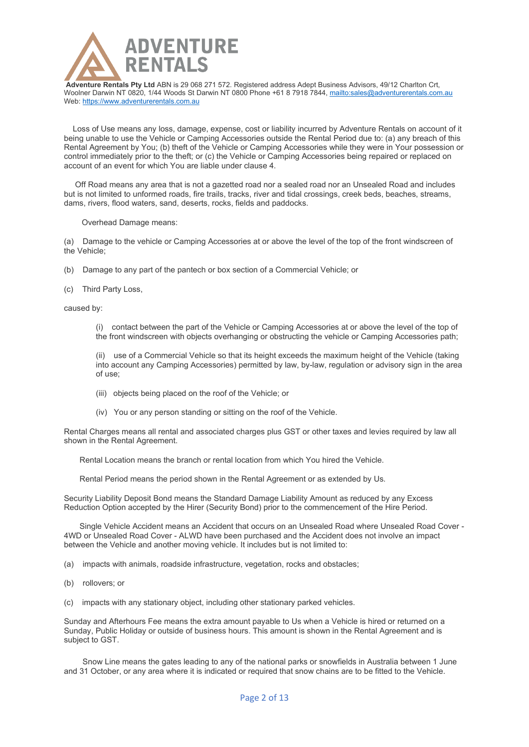

 Loss of Use means any loss, damage, expense, cost or liability incurred by Adventure Rentals on account of it being unable to use the Vehicle or Camping Accessories outside the Rental Period due to: (a) any breach of this Rental Agreement by You; (b) theft of the Vehicle or Camping Accessories while they were in Your possession or control immediately prior to the theft; or (c) the Vehicle or Camping Accessories being repaired or replaced on account of an event for which You are liable under clause 4.

 Off Road means any area that is not a gazetted road nor a sealed road nor an Unsealed Road and includes but is not limited to unformed roads, fire trails, tracks, river and tidal crossings, creek beds, beaches, streams, dams, rivers, flood waters, sand, deserts, rocks, fields and paddocks.

Overhead Damage means:

(a) Damage to the vehicle or Camping Accessories at or above the level of the top of the front windscreen of the Vehicle;

- (b) Damage to any part of the pantech or box section of a Commercial Vehicle; or
- (c) Third Party Loss,

caused by:

(i) contact between the part of the Vehicle or Camping Accessories at or above the level of the top of the front windscreen with objects overhanging or obstructing the vehicle or Camping Accessories path;

(ii) use of a Commercial Vehicle so that its height exceeds the maximum height of the Vehicle (taking into account any Camping Accessories) permitted by law, by-law, regulation or advisory sign in the area of use;

- (iii) objects being placed on the roof of the Vehicle; or
- (iv) You or any person standing or sitting on the roof of the Vehicle.

Rental Charges means all rental and associated charges plus GST or other taxes and levies required by law all shown in the Rental Agreement.

Rental Location means the branch or rental location from which You hired the Vehicle.

Rental Period means the period shown in the Rental Agreement or as extended by Us.

Security Liability Deposit Bond means the Standard Damage Liability Amount as reduced by any Excess Reduction Option accepted by the Hirer (Security Bond) prior to the commencement of the Hire Period.

 Single Vehicle Accident means an Accident that occurs on an Unsealed Road where Unsealed Road Cover - 4WD or Unsealed Road Cover - ALWD have been purchased and the Accident does not involve an impact between the Vehicle and another moving vehicle. It includes but is not limited to:

(a) impacts with animals, roadside infrastructure, vegetation, rocks and obstacles;

- (b) rollovers; or
- (c) impacts with any stationary object, including other stationary parked vehicles.

Sunday and Afterhours Fee means the extra amount payable to Us when a Vehicle is hired or returned on a Sunday, Public Holiday or outside of business hours. This amount is shown in the Rental Agreement and is subject to GST.

 Snow Line means the gates leading to any of the national parks or snowfields in Australia between 1 June and 31 October, or any area where it is indicated or required that snow chains are to be fitted to the Vehicle.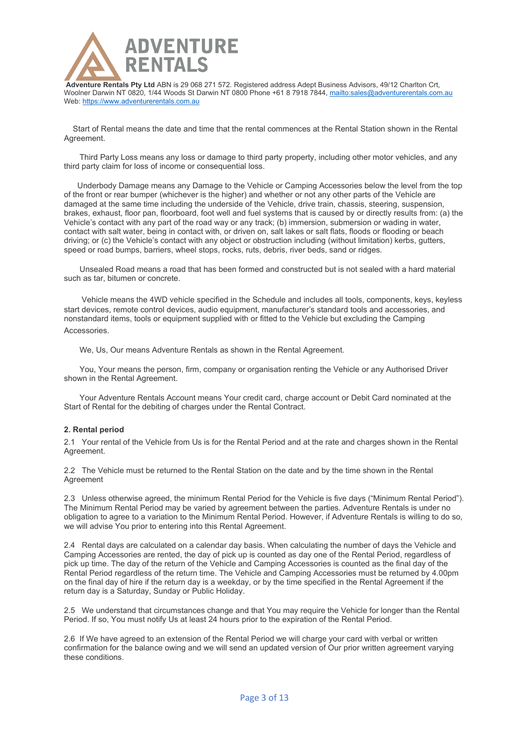

 Start of Rental means the date and time that the rental commences at the Rental Station shown in the Rental Agreement.

 Third Party Loss means any loss or damage to third party property, including other motor vehicles, and any third party claim for loss of income or consequential loss.

 Underbody Damage means any Damage to the Vehicle or Camping Accessories below the level from the top of the front or rear bumper (whichever is the higher) and whether or not any other parts of the Vehicle are damaged at the same time including the underside of the Vehicle, drive train, chassis, steering, suspension, brakes, exhaust, floor pan, floorboard, foot well and fuel systems that is caused by or directly results from: (a) the Vehicle's contact with any part of the road way or any track; (b) immersion, submersion or wading in water, contact with salt water, being in contact with, or driven on, salt lakes or salt flats, floods or flooding or beach driving; or (c) the Vehicle's contact with any object or obstruction including (without limitation) kerbs, gutters, speed or road bumps, barriers, wheel stops, rocks, ruts, debris, river beds, sand or ridges.

 Unsealed Road means a road that has been formed and constructed but is not sealed with a hard material such as tar, bitumen or concrete.

 Vehicle means the 4WD vehicle specified in the Schedule and includes all tools, components, keys, keyless start devices, remote control devices, audio equipment, manufacturer's standard tools and accessories, and nonstandard items, tools or equipment supplied with or fitted to the Vehicle but excluding the Camping **Accessories** 

We, Us, Our means Adventure Rentals as shown in the Rental Agreement.

 You, Your means the person, firm, company or organisation renting the Vehicle or any Authorised Driver shown in the Rental Agreement.

 Your Adventure Rentals Account means Your credit card, charge account or Debit Card nominated at the Start of Rental for the debiting of charges under the Rental Contract.

### **2. Rental period**

2.1 Your rental of the Vehicle from Us is for the Rental Period and at the rate and charges shown in the Rental Agreement.

2.2 The Vehicle must be returned to the Rental Station on the date and by the time shown in the Rental Agreement

2.3 Unless otherwise agreed, the minimum Rental Period for the Vehicle is five days ("Minimum Rental Period"). The Minimum Rental Period may be varied by agreement between the parties. Adventure Rentals is under no obligation to agree to a variation to the Minimum Rental Period. However, if Adventure Rentals is willing to do so, we will advise You prior to entering into this Rental Agreement.

2.4 Rental days are calculated on a calendar day basis. When calculating the number of days the Vehicle and Camping Accessories are rented, the day of pick up is counted as day one of the Rental Period, regardless of pick up time. The day of the return of the Vehicle and Camping Accessories is counted as the final day of the Rental Period regardless of the return time. The Vehicle and Camping Accessories must be returned by 4.00pm on the final day of hire if the return day is a weekday, or by the time specified in the Rental Agreement if the return day is a Saturday, Sunday or Public Holiday.

2.5 We understand that circumstances change and that You may require the Vehicle for longer than the Rental Period. If so, You must notify Us at least 24 hours prior to the expiration of the Rental Period.

2.6 If We have agreed to an extension of the Rental Period we will charge your card with verbal or written confirmation for the balance owing and we will send an updated version of Our prior written agreement varying these conditions.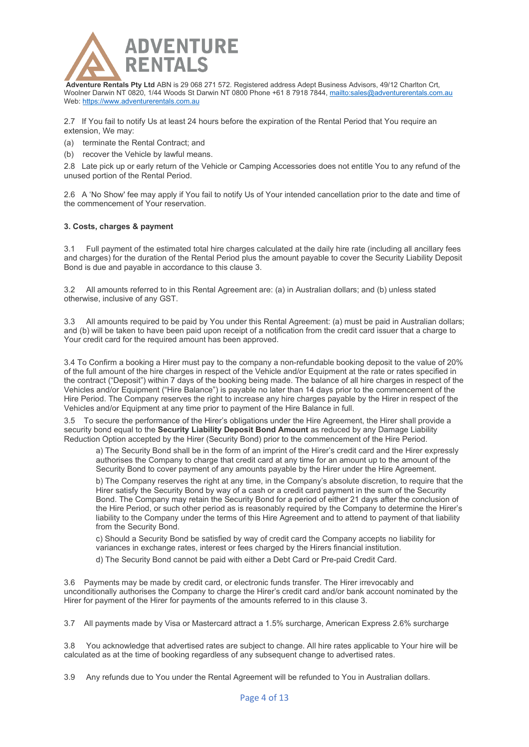

2.7 If You fail to notify Us at least 24 hours before the expiration of the Rental Period that You require an extension, We may:

- (a) terminate the Rental Contract; and
- (b) recover the Vehicle by lawful means.

2.8 Late pick up or early return of the Vehicle or Camping Accessories does not entitle You to any refund of the unused portion of the Rental Period.

2.6 A 'No Show' fee may apply if You fail to notify Us of Your intended cancellation prior to the date and time of the commencement of Your reservation.

### **3. Costs, charges & payment**

3.1 Full payment of the estimated total hire charges calculated at the daily hire rate (including all ancillary fees and charges) for the duration of the Rental Period plus the amount payable to cover the Security Liability Deposit Bond is due and payable in accordance to this clause 3.

3.2 All amounts referred to in this Rental Agreement are: (a) in Australian dollars; and (b) unless stated otherwise, inclusive of any GST.

3.3 All amounts required to be paid by You under this Rental Agreement: (a) must be paid in Australian dollars; and (b) will be taken to have been paid upon receipt of a notification from the credit card issuer that a charge to Your credit card for the required amount has been approved.

3.4 To Confirm a booking a Hirer must pay to the company a non-refundable booking deposit to the value of 20% of the full amount of the hire charges in respect of the Vehicle and/or Equipment at the rate or rates specified in the contract ("Deposit") within 7 days of the booking being made. The balance of all hire charges in respect of the Vehicles and/or Equipment ("Hire Balance") is payable no later than 14 days prior to the commencement of the Hire Period. The Company reserves the right to increase any hire charges payable by the Hirer in respect of the Vehicles and/or Equipment at any time prior to payment of the Hire Balance in full.

3.5 To secure the performance of the Hirer's obligations under the Hire Agreement, the Hirer shall provide a security bond equal to the **Security Liability Deposit Bond Amount** as reduced by any Damage Liability Reduction Option accepted by the Hirer (Security Bond) prior to the commencement of the Hire Period.

a) The Security Bond shall be in the form of an imprint of the Hirer's credit card and the Hirer expressly authorises the Company to charge that credit card at any time for an amount up to the amount of the Security Bond to cover payment of any amounts payable by the Hirer under the Hire Agreement.

b) The Company reserves the right at any time, in the Company's absolute discretion, to require that the Hirer satisfy the Security Bond by way of a cash or a credit card payment in the sum of the Security Bond. The Company may retain the Security Bond for a period of either 21 days after the conclusion of the Hire Period, or such other period as is reasonably required by the Company to determine the Hirer's liability to the Company under the terms of this Hire Agreement and to attend to payment of that liability from the Security Bond.

c) Should a Security Bond be satisfied by way of credit card the Company accepts no liability for variances in exchange rates, interest or fees charged by the Hirers financial institution.

d) The Security Bond cannot be paid with either a Debt Card or Pre-paid Credit Card.

3.6 Payments may be made by credit card, or electronic funds transfer. The Hirer irrevocably and unconditionally authorises the Company to charge the Hirer's credit card and/or bank account nominated by the Hirer for payment of the Hirer for payments of the amounts referred to in this clause 3.

3.7 All payments made by Visa or Mastercard attract a 1.5% surcharge, American Express 2.6% surcharge

3.8 You acknowledge that advertised rates are subject to change. All hire rates applicable to Your hire will be calculated as at the time of booking regardless of any subsequent change to advertised rates.

3.9 Any refunds due to You under the Rental Agreement will be refunded to You in Australian dollars.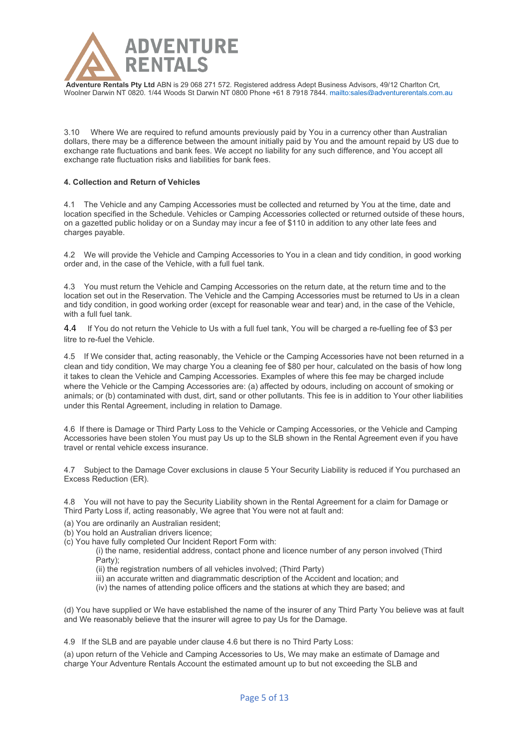

**Adventure Rentals Pty Ltd** ABN is 29 068 271 572. Registered address Adept Business Advisors, 49/12 Charlton Crt, Woolner Darwin NT 0820, 1/44 Woods St Darwin NT 0800 Phone +61 8 7918 7844,<mailto:sales@adventurerentals.com.au>

3.10 Where We are required to refund amounts previously paid by You in a currency other than Australian dollars, there may be a difference between the amount initially paid by You and the amount repaid by US due to exchange rate fluctuations and bank fees. We accept no liability for any such difference, and You accept all exchange rate fluctuation risks and liabilities for bank fees.

## **4. Collection and Return of Vehicles**

4.1 The Vehicle and any Camping Accessories must be collected and returned by You at the time, date and location specified in the Schedule. Vehicles or Camping Accessories collected or returned outside of these hours, on a gazetted public holiday or on a Sunday may incur a fee of \$110 in addition to any other late fees and charges payable.

4.2 We will provide the Vehicle and Camping Accessories to You in a clean and tidy condition, in good working order and, in the case of the Vehicle, with a full fuel tank.

4.3 You must return the Vehicle and Camping Accessories on the return date, at the return time and to the location set out in the Reservation. The Vehicle and the Camping Accessories must be returned to Us in a clean and tidy condition, in good working order (except for reasonable wear and tear) and, in the case of the Vehicle, with a full fuel tank.

4.4 If You do not return the Vehicle to Us with a full fuel tank, You will be charged a re-fuelling fee of \$3 per litre to re-fuel the Vehicle.

4.5 If We consider that, acting reasonably, the Vehicle or the Camping Accessories have not been returned in a clean and tidy condition, We may charge You a cleaning fee of \$80 per hour, calculated on the basis of how long it takes to clean the Vehicle and Camping Accessories. Examples of where this fee may be charged include where the Vehicle or the Camping Accessories are: (a) affected by odours, including on account of smoking or animals; or (b) contaminated with dust, dirt, sand or other pollutants. This fee is in addition to Your other liabilities under this Rental Agreement, including in relation to Damage.

4.6 If there is Damage or Third Party Loss to the Vehicle or Camping Accessories, or the Vehicle and Camping Accessories have been stolen You must pay Us up to the SLB shown in the Rental Agreement even if you have travel or rental vehicle excess insurance.

4.7 Subject to the Damage Cover exclusions in clause 5 Your Security Liability is reduced if You purchased an Excess Reduction (ER).

4.8 You will not have to pay the Security Liability shown in the Rental Agreement for a claim for Damage or Third Party Loss if, acting reasonably, We agree that You were not at fault and:

- (a) You are ordinarily an Australian resident;
- (b) You hold an Australian drivers licence;
- (c) You have fully completed Our Incident Report Form with:

(i) the name, residential address, contact phone and licence number of any person involved (Third Party);

- (ii) the registration numbers of all vehicles involved; (Third Party)
- iii) an accurate written and diagrammatic description of the Accident and location; and
- (iv) the names of attending police officers and the stations at which they are based; and

(d) You have supplied or We have established the name of the insurer of any Third Party You believe was at fault and We reasonably believe that the insurer will agree to pay Us for the Damage.

4.9 If the SLB and are payable under clause 4.6 but there is no Third Party Loss:

(a) upon return of the Vehicle and Camping Accessories to Us, We may make an estimate of Damage and charge Your Adventure Rentals Account the estimated amount up to but not exceeding the SLB and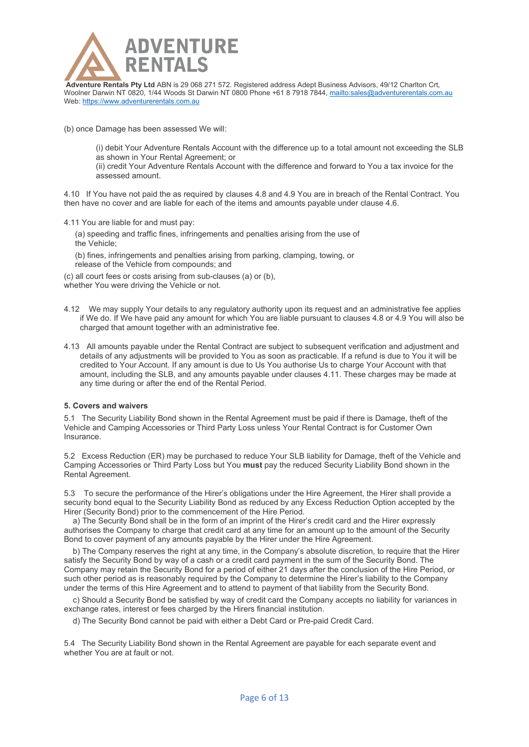

(b) once Damage has been assessed We will:

(i) debit Your Adventure Rentals Account with the difference up to a total amount not exceeding the SLB as shown in Your Rental Agreement; or

(ii) credit Your Adventure Rentals Account with the difference and forward to You a tax invoice for the assessed amount.

4.10 If You have not paid the as required by clauses 4.8 and 4.9 You are in breach of the Rental Contract. You then have no cover and are liable for each of the items and amounts payable under clause 4.6.

4.11 You are liable for and must pay:

 (a) speeding and traffic fines, infringements and penalties arising from the use of the Vehicle;

 (b) fines, infringements and penalties arising from parking, clamping, towing, or release of the Vehicle from compounds; and

(c) all court fees or costs arising from sub-clauses (a) or (b), whether You were driving the Vehicle or not.

- 4.12 We may supply Your details to any regulatory authority upon its request and an administrative fee applies if We do. If We have paid any amount for which You are liable pursuant to clauses 4.8 or 4.9 You will also be charged that amount together with an administrative fee.
- 4.13 All amounts payable under the Rental Contract are subject to subsequent verification and adjustment and details of any adjustments will be provided to You as soon as practicable. If a refund is due to You it will be credited to Your Account. If any amount is due to Us You authorise Us to charge Your Account with that amount, including the SLB, and any amounts payable under clauses 4.11. These charges may be made at any time during or after the end of the Rental Period.

# **5. Covers and waivers**

5.1 The Security Liability Bond shown in the Rental Agreement must be paid if there is Damage, theft of the Vehicle and Camping Accessories or Third Party Loss unless Your Rental Contract is for Customer Own Insurance.

5.2 Excess Reduction (ER) may be purchased to reduce Your SLB liability for Damage, theft of the Vehicle and Camping Accessories or Third Party Loss but You **must** pay the reduced Security Liability Bond shown in the Rental Agreement.

5.3 To secure the performance of the Hirer's obligations under the Hire Agreement, the Hirer shall provide a security bond equal to the Security Liability Bond as reduced by any Excess Reduction Option accepted by the Hirer (Security Bond) prior to the commencement of the Hire Period.

 a) The Security Bond shall be in the form of an imprint of the Hirer's credit card and the Hirer expressly authorises the Company to charge that credit card at any time for an amount up to the amount of the Security Bond to cover payment of any amounts payable by the Hirer under the Hire Agreement.

 b) The Company reserves the right at any time, in the Company's absolute discretion, to require that the Hirer satisfy the Security Bond by way of a cash or a credit card payment in the sum of the Security Bond. The Company may retain the Security Bond for a period of either 21 days after the conclusion of the Hire Period, or such other period as is reasonably required by the Company to determine the Hirer's liability to the Company under the terms of this Hire Agreement and to attend to payment of that liability from the Security Bond.

 c) Should a Security Bond be satisfied by way of credit card the Company accepts no liability for variances in exchange rates, interest or fees charged by the Hirers financial institution.

d) The Security Bond cannot be paid with either a Debt Card or Pre-paid Credit Card.

5.4 The Security Liability Bond shown in the Rental Agreement are payable for each separate event and whether You are at fault or not.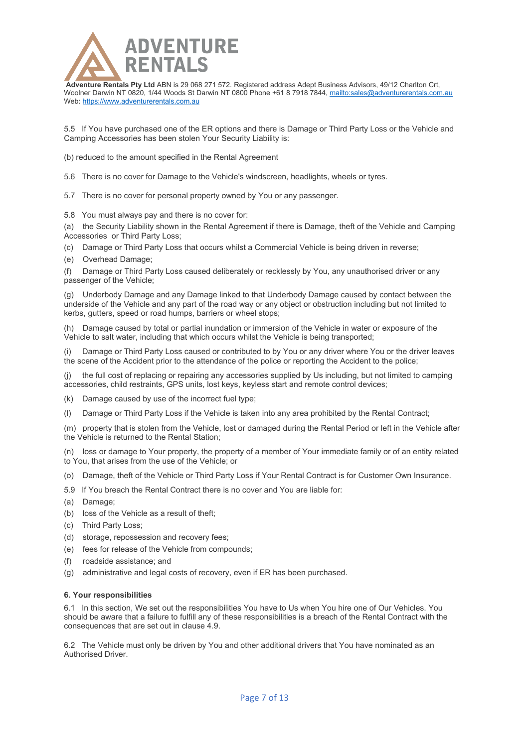

5.5 If You have purchased one of the ER options and there is Damage or Third Party Loss or the Vehicle and Camping Accessories has been stolen Your Security Liability is:

(b) reduced to the amount specified in the Rental Agreement

5.6 There is no cover for Damage to the Vehicle's windscreen, headlights, wheels or tyres.

5.7 There is no cover for personal property owned by You or any passenger.

5.8 You must always pay and there is no cover for:

(a) the Security Liability shown in the Rental Agreement if there is Damage, theft of the Vehicle and Camping Accessories or Third Party Loss;

(c) Damage or Third Party Loss that occurs whilst a Commercial Vehicle is being driven in reverse;

(e) Overhead Damage;

(f) Damage or Third Party Loss caused deliberately or recklessly by You, any unauthorised driver or any passenger of the Vehicle;

(g) Underbody Damage and any Damage linked to that Underbody Damage caused by contact between the underside of the Vehicle and any part of the road way or any object or obstruction including but not limited to kerbs, gutters, speed or road humps, barriers or wheel stops;

(h) Damage caused by total or partial inundation or immersion of the Vehicle in water or exposure of the Vehicle to salt water, including that which occurs whilst the Vehicle is being transported;

(i) Damage or Third Party Loss caused or contributed to by You or any driver where You or the driver leaves the scene of the Accident prior to the attendance of the police or reporting the Accident to the police;

(j) the full cost of replacing or repairing any accessories supplied by Us including, but not limited to camping accessories, child restraints, GPS units, lost keys, keyless start and remote control devices;

(k) Damage caused by use of the incorrect fuel type;

(l) Damage or Third Party Loss if the Vehicle is taken into any area prohibited by the Rental Contract;

(m) property that is stolen from the Vehicle, lost or damaged during the Rental Period or left in the Vehicle after the Vehicle is returned to the Rental Station;

(n) loss or damage to Your property, the property of a member of Your immediate family or of an entity related to You, that arises from the use of the Vehicle; or

- (o) Damage, theft of the Vehicle or Third Party Loss if Your Rental Contract is for Customer Own Insurance.
- 5.9 If You breach the Rental Contract there is no cover and You are liable for:
- (a) Damage;
- (b) loss of the Vehicle as a result of theft;
- (c) Third Party Loss;
- (d) storage, repossession and recovery fees;
- (e) fees for release of the Vehicle from compounds;
- (f) roadside assistance; and
- (g) administrative and legal costs of recovery, even if ER has been purchased.

### **6. Your responsibilities**

6.1 In this section, We set out the responsibilities You have to Us when You hire one of Our Vehicles. You should be aware that a failure to fulfill any of these responsibilities is a breach of the Rental Contract with the consequences that are set out in clause 4.9.

6.2 The Vehicle must only be driven by You and other additional drivers that You have nominated as an Authorised Driver.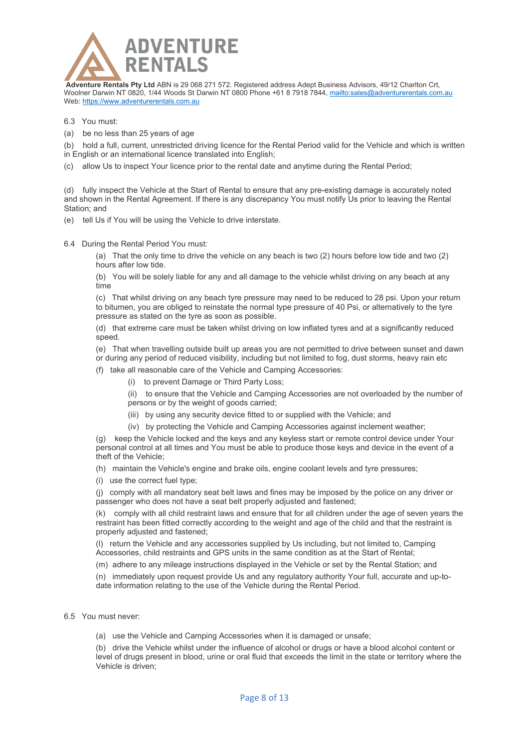

6.3 You must:

(a) be no less than 25 years of age

(b) hold a full, current, unrestricted driving licence for the Rental Period valid for the Vehicle and which is written in English or an international licence translated into English;

(c) allow Us to inspect Your licence prior to the rental date and anytime during the Rental Period;

(d) fully inspect the Vehicle at the Start of Rental to ensure that any pre-existing damage is accurately noted and shown in the Rental Agreement. If there is any discrepancy You must notify Us prior to leaving the Rental Station; and

(e) tell Us if You will be using the Vehicle to drive interstate.

6.4 During the Rental Period You must:

(a) That the only time to drive the vehicle on any beach is two (2) hours before low tide and two (2) hours after low tide.

(b) You will be solely liable for any and all damage to the vehicle whilst driving on any beach at any time

(c) That whilst driving on any beach tyre pressure may need to be reduced to 28 psi. Upon your return to bitumen, you are obliged to reinstate the normal type pressure of 40 Psi, or alternatively to the tyre pressure as stated on the tyre as soon as possible.

(d) that extreme care must be taken whilst driving on low inflated tyres and at a significantly reduced speed.

(e) That when travelling outside built up areas you are not permitted to drive between sunset and dawn or during any period of reduced visibility, including but not limited to fog, dust storms, heavy rain etc

(f) take all reasonable care of the Vehicle and Camping Accessories:

(i) to prevent Damage or Third Party Loss;

(ii) to ensure that the Vehicle and Camping Accessories are not overloaded by the number of

- persons or by the weight of goods carried;
- (iii) by using any security device fitted to or supplied with the Vehicle; and
- (iv) by protecting the Vehicle and Camping Accessories against inclement weather;

(g) keep the Vehicle locked and the keys and any keyless start or remote control device under Your personal control at all times and You must be able to produce those keys and device in the event of a theft of the Vehicle;

(h) maintain the Vehicle's engine and brake oils, engine coolant levels and tyre pressures;

(i) use the correct fuel type;

(j) comply with all mandatory seat belt laws and fines may be imposed by the police on any driver or passenger who does not have a seat belt properly adjusted and fastened;

(k) comply with all child restraint laws and ensure that for all children under the age of seven years the restraint has been fitted correctly according to the weight and age of the child and that the restraint is properly adjusted and fastened;

(l) return the Vehicle and any accessories supplied by Us including, but not limited to, Camping Accessories, child restraints and GPS units in the same condition as at the Start of Rental;

(m) adhere to any mileage instructions displayed in the Vehicle or set by the Rental Station; and

(n) immediately upon request provide Us and any regulatory authority Your full, accurate and up-todate information relating to the use of the Vehicle during the Rental Period.

6.5 You must never:

(a) use the Vehicle and Camping Accessories when it is damaged or unsafe;

(b) drive the Vehicle whilst under the influence of alcohol or drugs or have a blood alcohol content or level of drugs present in blood, urine or oral fluid that exceeds the limit in the state or territory where the Vehicle is driven;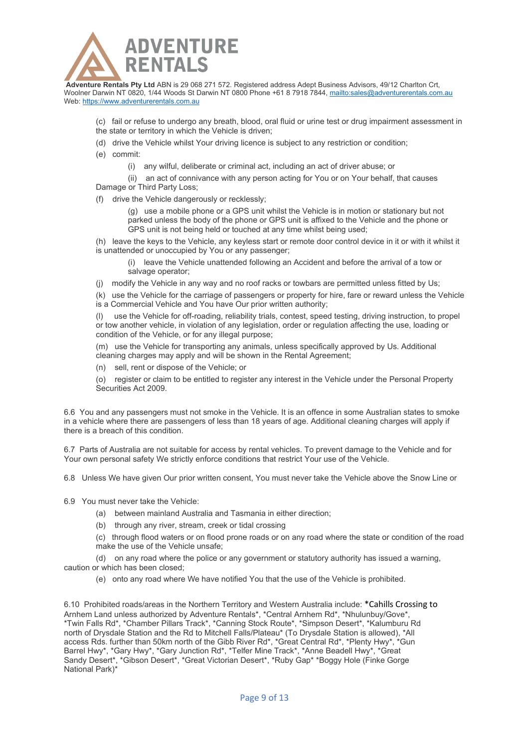

(c) fail or refuse to undergo any breath, blood, oral fluid or urine test or drug impairment assessment in the state or territory in which the Vehicle is driven;

- (d) drive the Vehicle whilst Your driving licence is subject to any restriction or condition;
- (e) commit:

(i) any wilful, deliberate or criminal act, including an act of driver abuse; or

(ii) an act of connivance with any person acting for You or on Your behalf, that causes Damage or Third Party Loss;

(f) drive the Vehicle dangerously or recklessly;

(g) use a mobile phone or a GPS unit whilst the Vehicle is in motion or stationary but not parked unless the body of the phone or GPS unit is affixed to the Vehicle and the phone or GPS unit is not being held or touched at any time whilst being used;

(h) leave the keys to the Vehicle, any keyless start or remote door control device in it or with it whilst it is unattended or unoccupied by You or any passenger;

(i) leave the Vehicle unattended following an Accident and before the arrival of a tow or salvage operator;

(j) modify the Vehicle in any way and no roof racks or towbars are permitted unless fitted by Us;

(k) use the Vehicle for the carriage of passengers or property for hire, fare or reward unless the Vehicle is a Commercial Vehicle and You have Our prior written authority;

use the Vehicle for off-roading, reliability trials, contest, speed testing, driving instruction, to propel or tow another vehicle, in violation of any legislation, order or regulation affecting the use, loading or condition of the Vehicle, or for any illegal purpose;

(m) use the Vehicle for transporting any animals, unless specifically approved by Us. Additional cleaning charges may apply and will be shown in the Rental Agreement;

(n) sell, rent or dispose of the Vehicle; or

(o) register or claim to be entitled to register any interest in the Vehicle under the Personal Property Securities Act 2009.

6.6 You and any passengers must not smoke in the Vehicle. It is an offence in some Australian states to smoke in a vehicle where there are passengers of less than 18 years of age. Additional cleaning charges will apply if there is a breach of this condition.

6.7 Parts of Australia are not suitable for access by rental vehicles. To prevent damage to the Vehicle and for Your own personal safety We strictly enforce conditions that restrict Your use of the Vehicle.

6.8 Unless We have given Our prior written consent, You must never take the Vehicle above the Snow Line or

6.9 You must never take the Vehicle:

- (a) between mainland Australia and Tasmania in either direction;
- (b) through any river, stream, creek or tidal crossing

(c) through flood waters or on flood prone roads or on any road where the state or condition of the road make the use of the Vehicle unsafe;

(d) on any road where the police or any government or statutory authority has issued a warning, caution or which has been closed;

(e) onto any road where We have notified You that the use of the Vehicle is prohibited.

6.10 Prohibited roads/areas in the Northern Territory and Western Australia include: \*Cahills Crossing to Arnhem Land unless authorized by Adventure Rentals\*, \*Central Arnhem Rd\*, \*Nhulunbuy/Gove\*, \*Twin Falls Rd\*, \*Chamber Pillars Track\*, \*Canning Stock Route\*, \*Simpson Desert\*, \*Kalumburu Rd north of Drysdale Station and the Rd to Mitchell Falls/Plateau\* (To Drysdale Station is allowed), \*All access Rds. further than 50km north of the Gibb River Rd\*, \*Great Central Rd\*, \*Plenty Hwy\*, \*Gun Barrel Hwy\*, \*Gary Hwy\*, \*Gary Junction Rd\*, \*Telfer Mine Track\*, \*Anne Beadell Hwy\*, \*Great Sandy Desert\*, \*Gibson Desert\*, \*Great Victorian Desert\*, \*Ruby Gap\* \*Boggy Hole (Finke Gorge National Park)\*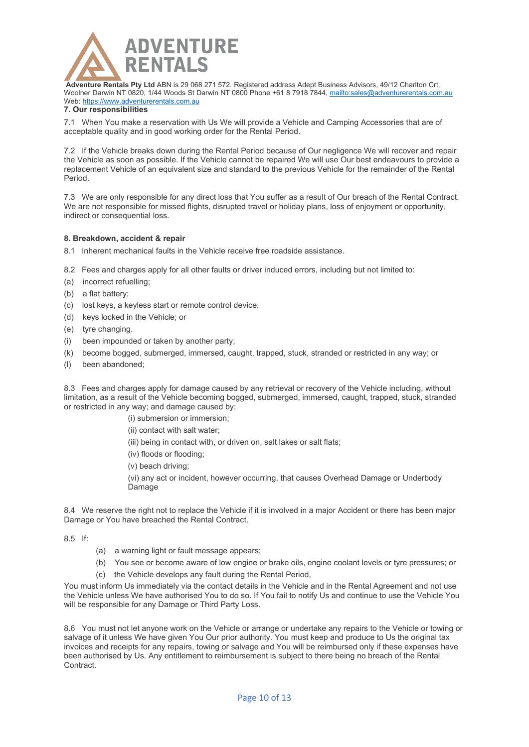

# **7. Our responsibilities**

7.1 When You make a reservation with Us We will provide a Vehicle and Camping Accessories that are of acceptable quality and in good working order for the Rental Period.

7.2 If the Vehicle breaks down during the Rental Period because of Our negligence We will recover and repair the Vehicle as soon as possible. If the Vehicle cannot be repaired We will use Our best endeavours to provide a replacement Vehicle of an equivalent size and standard to the previous Vehicle for the remainder of the Rental Period.

7.3 We are only responsible for any direct loss that You suffer as a result of Our breach of the Rental Contract. We are not responsible for missed flights, disrupted travel or holiday plans, loss of enjoyment or opportunity, indirect or consequential loss.

# **8. Breakdown, accident & repair**

- 8.1 Inherent mechanical faults in the Vehicle receive free roadside assistance.
- 8.2 Fees and charges apply for all other faults or driver induced errors, including but not limited to:
- (a) incorrect refuelling;
- (b) a flat battery;
- (c) lost keys, a keyless start or remote control device;
- (d) keys locked in the Vehicle; or
- (e) tyre changing.
- (i) been impounded or taken by another party;
- (k) become bogged, submerged, immersed, caught, trapped, stuck, stranded or restricted in any way; or
- (l) been abandoned;

8.3 Fees and charges apply for damage caused by any retrieval or recovery of the Vehicle including, without limitation, as a result of the Vehicle becoming bogged, submerged, immersed, caught, trapped, stuck, stranded or restricted in any way; and damage caused by;

(i) submersion or immersion;

- (ii) contact with salt water;
- (iii) being in contact with, or driven on, salt lakes or salt flats;
- (iv) floods or flooding;
- (v) beach driving;

(vi) any act or incident, however occurring, that causes Overhead Damage or Underbody Damage

8.4 We reserve the right not to replace the Vehicle if it is involved in a major Accident or there has been major Damage or You have breached the Rental Contract.

8.5 If:

- (a) a warning light or fault message appears;
- (b) You see or become aware of low engine or brake oils, engine coolant levels or tyre pressures; or
- (c) the Vehicle develops any fault during the Rental Period,

You must inform Us immediately via the contact details in the Vehicle and in the Rental Agreement and not use the Vehicle unless We have authorised You to do so. If You fail to notify Us and continue to use the Vehicle You will be responsible for any Damage or Third Party Loss.

8.6 You must not let anyone work on the Vehicle or arrange or undertake any repairs to the Vehicle or towing or salvage of it unless We have given You Our prior authority. You must keep and produce to Us the original tax invoices and receipts for any repairs, towing or salvage and You will be reimbursed only if these expenses have been authorised by Us. Any entitlement to reimbursement is subject to there being no breach of the Rental **Contract**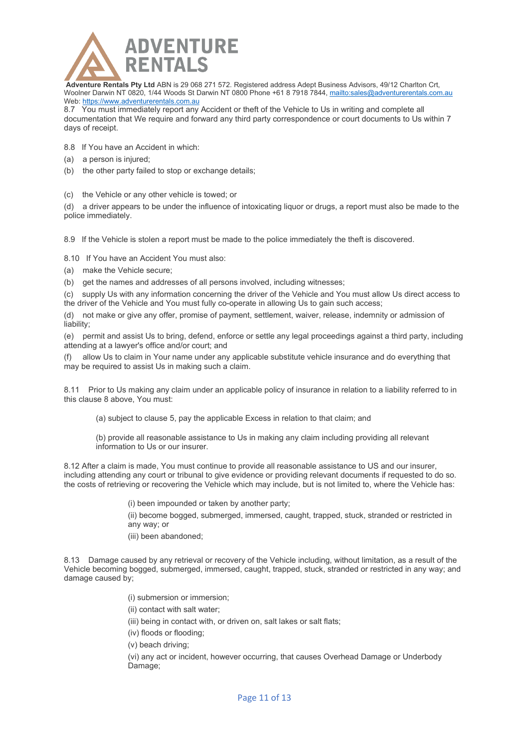

8.7 You must immediately report any Accident or theft of the Vehicle to Us in writing and complete all documentation that We require and forward any third party correspondence or court documents to Us within 7 days of receipt.

- 8.8 If You have an Accident in which:
- (a) a person is injured;
- (b) the other party failed to stop or exchange details;

(c) the Vehicle or any other vehicle is towed; or

(d) a driver appears to be under the influence of intoxicating liquor or drugs, a report must also be made to the police immediately.

8.9 If the Vehicle is stolen a report must be made to the police immediately the theft is discovered.

8.10 If You have an Accident You must also:

- (a) make the Vehicle secure;
- (b) get the names and addresses of all persons involved, including witnesses;

(c) supply Us with any information concerning the driver of the Vehicle and You must allow Us direct access to the driver of the Vehicle and You must fully co-operate in allowing Us to gain such access;

(d) not make or give any offer, promise of payment, settlement, waiver, release, indemnity or admission of liability;

(e) permit and assist Us to bring, defend, enforce or settle any legal proceedings against a third party, including attending at a lawyer's office and/or court; and

(f) allow Us to claim in Your name under any applicable substitute vehicle insurance and do everything that may be required to assist Us in making such a claim.

8.11 Prior to Us making any claim under an applicable policy of insurance in relation to a liability referred to in this clause 8 above, You must:

(a) subject to clause 5, pay the applicable Excess in relation to that claim; and

(b) provide all reasonable assistance to Us in making any claim including providing all relevant information to Us or our insurer.

8.12 After a claim is made, You must continue to provide all reasonable assistance to US and our insurer, including attending any court or tribunal to give evidence or providing relevant documents if requested to do so. the costs of retrieving or recovering the Vehicle which may include, but is not limited to, where the Vehicle has:

(i) been impounded or taken by another party;

(ii) become bogged, submerged, immersed, caught, trapped, stuck, stranded or restricted in any way; or

(iii) been abandoned;

8.13 Damage caused by any retrieval or recovery of the Vehicle including, without limitation, as a result of the Vehicle becoming bogged, submerged, immersed, caught, trapped, stuck, stranded or restricted in any way; and damage caused by;

(i) submersion or immersion;

(ii) contact with salt water;

(iii) being in contact with, or driven on, salt lakes or salt flats;

(iv) floods or flooding;

(v) beach driving;

(vi) any act or incident, however occurring, that causes Overhead Damage or Underbody Damage;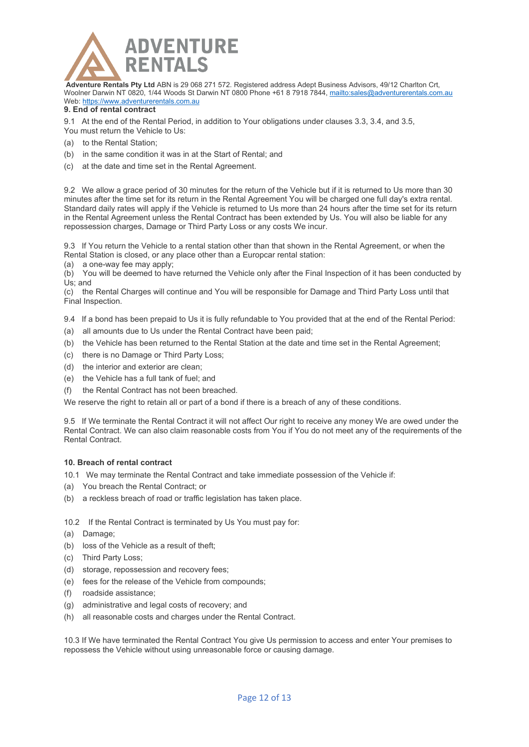

### **9. End of rental contract**

9.1 At the end of the Rental Period, in addition to Your obligations under clauses 3.3, 3.4, and 3.5, You must return the Vehicle to Us:

- (a) to the Rental Station;
- (b) in the same condition it was in at the Start of Rental; and
- (c) at the date and time set in the Rental Agreement.

9.2 We allow a grace period of 30 minutes for the return of the Vehicle but if it is returned to Us more than 30 minutes after the time set for its return in the Rental Agreement You will be charged one full day's extra rental. Standard daily rates will apply if the Vehicle is returned to Us more than 24 hours after the time set for its return in the Rental Agreement unless the Rental Contract has been extended by Us. You will also be liable for any repossession charges, Damage or Third Party Loss or any costs We incur.

9.3 If You return the Vehicle to a rental station other than that shown in the Rental Agreement, or when the Rental Station is closed, or any place other than a Europcar rental station:

(a) a one-way fee may apply;

(b) You will be deemed to have returned the Vehicle only after the Final Inspection of it has been conducted by Us; and

(c) the Rental Charges will continue and You will be responsible for Damage and Third Party Loss until that Final Inspection.

9.4 If a bond has been prepaid to Us it is fully refundable to You provided that at the end of the Rental Period:

- (a) all amounts due to Us under the Rental Contract have been paid;
- (b) the Vehicle has been returned to the Rental Station at the date and time set in the Rental Agreement;
- (c) there is no Damage or Third Party Loss;
- (d) the interior and exterior are clean;
- (e) the Vehicle has a full tank of fuel; and
- (f) the Rental Contract has not been breached.

We reserve the right to retain all or part of a bond if there is a breach of any of these conditions.

9.5 If We terminate the Rental Contract it will not affect Our right to receive any money We are owed under the Rental Contract. We can also claim reasonable costs from You if You do not meet any of the requirements of the Rental Contract.

# **10. Breach of rental contract**

10.1 We may terminate the Rental Contract and take immediate possession of the Vehicle if:

- (a) You breach the Rental Contract; or
- (b) a reckless breach of road or traffic legislation has taken place.

10.2 If the Rental Contract is terminated by Us You must pay for:

- (a) Damage;
- (b) loss of the Vehicle as a result of theft;
- (c) Third Party Loss;
- (d) storage, repossession and recovery fees;
- (e) fees for the release of the Vehicle from compounds;
- (f) roadside assistance;
- (g) administrative and legal costs of recovery; and
- (h) all reasonable costs and charges under the Rental Contract.

10.3 If We have terminated the Rental Contract You give Us permission to access and enter Your premises to repossess the Vehicle without using unreasonable force or causing damage.